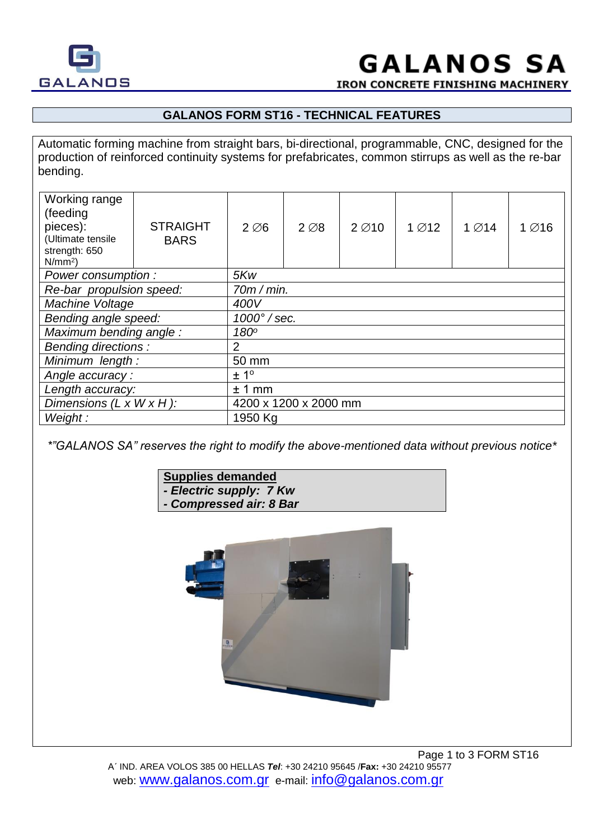



**IRON CONCRETE FINISHING MACHINERY** 

## **GALANOS FORM ST16 - TECHNICAL FEATURES**

Automatic forming machine from straight bars, bi-directional, programmable, CNC, designed for the production of reinforced continuity systems for prefabricates, common stirrups as well as the re-bar bending.

| Working range<br>(feeding<br>pieces):<br>(Ultimate tensile<br>strength: 650<br>$N/mm^2$ ) | <b>STRAIGHT</b><br><b>BARS</b> | $2\varnothing6$       | $2 \varnothing 8$ | $2\varnothing$ 10 | $1\varnothing$ 12 | $1\varnothing$ 14 | $1\varnothing$ 16 |
|-------------------------------------------------------------------------------------------|--------------------------------|-----------------------|-------------------|-------------------|-------------------|-------------------|-------------------|
| Power consumption :                                                                       |                                | 5Kw                   |                   |                   |                   |                   |                   |
| Re-bar propulsion speed:                                                                  |                                | 70m/min.              |                   |                   |                   |                   |                   |
| Machine Voltage                                                                           |                                | 400V                  |                   |                   |                   |                   |                   |
| Bending angle speed:                                                                      |                                | $1000^\circ$ / sec.   |                   |                   |                   |                   |                   |
| Maximum bending angle:                                                                    |                                | 180 <sup>o</sup>      |                   |                   |                   |                   |                   |
| <b>Bending directions:</b>                                                                |                                | 2                     |                   |                   |                   |                   |                   |
| Minimum length:                                                                           |                                | 50 mm                 |                   |                   |                   |                   |                   |
| Angle accuracy:                                                                           |                                | ± 1 <sup>°</sup>      |                   |                   |                   |                   |                   |
| Length accuracy:                                                                          |                                | ± 1 mm                |                   |                   |                   |                   |                   |
| Dimensions $(L \times W \times H)$ :                                                      |                                | 4200 x 1200 x 2000 mm |                   |                   |                   |                   |                   |
| Weight:                                                                                   |                                | 1950 Kg               |                   |                   |                   |                   |                   |

*\*"GALANOS SA" reserves the right to modify the above-mentioned data without previous notice\**

#### **Supplies demanded** *- Electric supply: 7 Kw*

*- Compressed air: 8 Bar*

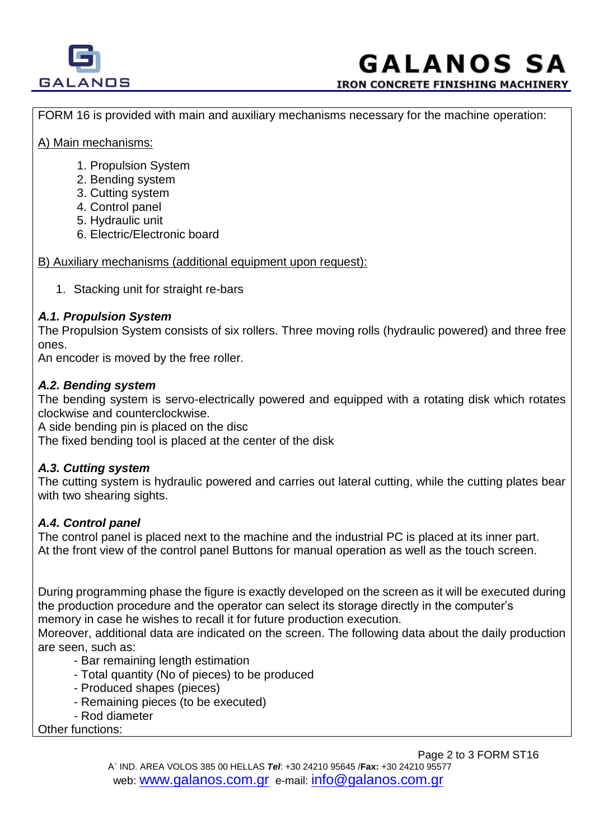

# **GALANOS SA**

**IRON CONCRETE FINISHING MACHINERY** 

FORM 16 is provided with main and auxiliary mechanisms necessary for the machine operation:

#### Α) Main mechanisms:

- 1. Propulsion System
- 2. Bending system
- 3. Cutting system
- 4. Control panel
- 5. Hydraulic unit
- 6. Electric/Electronic board

B) Auxiliary mechanisms (additional equipment upon request):

1. Stacking unit for straight re-bars

#### *Α.1. Propulsion System*

The Propulsion System consists of six rollers. Three moving rolls (hydraulic powered) and three free ones.

An encoder is moved by the free roller.

#### *Α.2. Bending system*

The bending system is servo-electrically powered and equipped with a rotating disk which rotates clockwise and counterclockwise.

A side bending pin is placed on the disc

The fixed bending tool is placed at the center of the disk

## *Α.3. Cutting system*

The cutting system is hydraulic powered and carries out lateral cutting, while the cutting plates bear with two shearing sights.

## *A.4. Control panel*

The control panel is placed next to the machine and the industrial PC is placed at its inner part. At the front view of the control panel Buttons for manual operation as well as the touch screen.

During programming phase the figure is exactly developed on the screen as it will be executed during the production procedure and the operator can select its storage directly in the computer's memory in case he wishes to recall it for future production execution.

Moreover, additional data are indicated on the screen. The following data about the daily production are seen, such as:

- Bar remaining length estimation
- Total quantity (No of pieces) to be produced
- Produced shapes (pieces)
- Remaining pieces (to be executed)
- Rod diameter

Other functions: